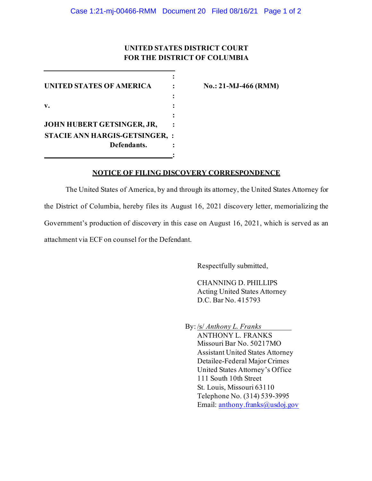# **UNITED STATES DISTRICT COURT FOR THE DISTRICT OF COLUMBIA**

**:**

| UNITED STATES OF AMERICA     |  |
|------------------------------|--|
|                              |  |
| V.                           |  |
|                              |  |
| JOHN HUBERT GETSINGER, JR,   |  |
| STACIE ANN HARGIS-GETSINGER, |  |
| Defendants.                  |  |
|                              |  |

 $N$ **o.: 21-MJ-466 (RMM)** 

### **NOTICE OF FILING DISCOVERY CORRESPONDENCE**

The United States of America, by and through its attorney, the United States Attorney for the District of Columbia, hereby files its August 16, 2021 discovery letter, memorializing the Government's production of discovery in this case on August 16, 2021, which is served as an attachment via ECF on counsel for the Defendant.

Respectfully submitted,

CHANNING D. PHILLIPS Acting United States Attorney D.C. Bar No. 415793

By: /s/ *Anthony L. Franks* 

ANTHONY L. FRANKS Missouri Bar No. 50217MO Assistant United States Attorney Detailee-Federal Major Crimes United States Attorney's Office 111 South 10th Street St. Louis, Missouri 63110 Telephone No. (314) 539-3995 Email: anthony.franks@usdoj.gov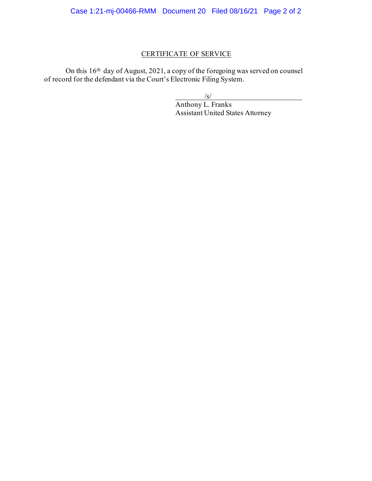# CERTIFICATE OF SERVICE

On this 16th day of August, 2021, a copy of the foregoing was served on counsel of record for the defendant via the Court's Electronic Filing System.

 $\sqrt{s/}$ 

Anthony L. Franks Assistant United States Attorney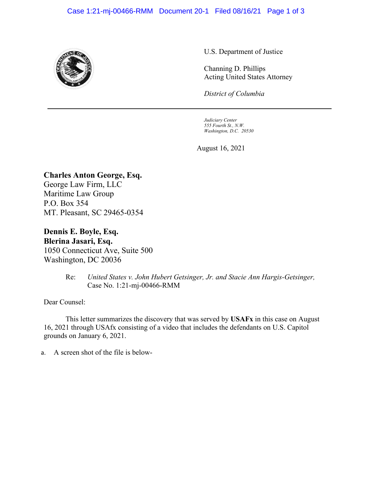### Case 1:21-mj-00466-RMM Document 20-1 Filed 08/16/21 Page 1 of 3



U.S. Department of Justice

Channing D. Phillips Acting United States Attorney

*District of Columbia*

*Judiciary Center 555 Fourth St., N.W. Washington, D.C. 20530*

August 16, 2021

# **Charles Anton George, Esq.**

George Law Firm, LLC Maritime Law Group P.O. Box 354 MT. Pleasant, SC 29465-0354

**Dennis E. Boyle, Esq. Blerina Jasari, Esq.** 1050 Connecticut Ave, Suite 500 Washington, DC 20036

> Re: *United States v. John Hubert Getsinger, Jr. and Stacie Ann Hargis-Getsinger,* Case No. 1:21-mj-00466-RMM

Dear Counsel:

This letter summarizes the discovery that was served by **USAFx** in this case on August 16, 2021 through USAfx consisting of a video that includes the defendants on U.S. Capitol grounds on January 6, 2021.

a. A screen shot of the file is below-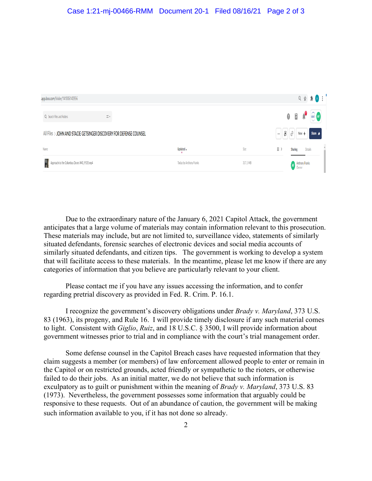#### Case 1:21-mj-00466-RMM Document 20-1 Filed 08/16/21 Page 2 of 3

| app.box.com/folder/141806143956                                     |                         |          |                                                     |                          |                | 日 ☆ ★ ● :                         |
|---------------------------------------------------------------------|-------------------------|----------|-----------------------------------------------------|--------------------------|----------------|-----------------------------------|
| Q Search Files and Folders<br>$\frac{m_{\rm B}^2}{m_{\rm B}^2}$ v   |                         |          | 0                                                   | $\frac{1}{2}$            | $\mathbf{r}$   | $\frac{\partial H_1}{\partial x}$ |
| All Files > JOHN AND STACIE GETSINGER DISCOVERY FOR DEFENSE COUNSEL |                         |          | $\begin{bmatrix} \pmb{t} \end{bmatrix}$<br>$\cdots$ | ா∂ ⊢                     | $New +$        | Share $\bigwedge$                 |
| Name                                                                | Updated v               | Size     | Н.                                                  | <b>Sharing</b>           | <b>Details</b> |                                   |
| Approach to the Columbus Doors IMG_9535.mp4                         | Today by Anthony Franks | 317.1 MB |                                                     | <b>AF</b> Anthony Franks |                |                                   |

Due to the extraordinary nature of the January 6, 2021 Capitol Attack, the government anticipates that a large volume of materials may contain information relevant to this prosecution. These materials may include, but are not limited to, surveillance video, statements of similarly situated defendants, forensic searches of electronic devices and social media accounts of similarly situated defendants, and citizen tips. The government is working to develop a system that will facilitate access to these materials. In the meantime, please let me know if there are any categories of information that you believe are particularly relevant to your client.

Please contact me if you have any issues accessing the information, and to confer regarding pretrial discovery as provided in Fed. R. Crim. P. 16.1.

I recognize the government's discovery obligations under *Brady v. Maryland*, 373 U.S. 83 (1963), its progeny, and Rule 16. I will provide timely disclosure if any such material comes to light. Consistent with *Giglio*, *Ruiz*, and 18 U.S.C. § 3500, I will provide information about government witnesses prior to trial and in compliance with the court's trial management order.

Some defense counsel in the Capitol Breach cases have requested information that they claim suggests a member (or members) of law enforcement allowed people to enter or remain in the Capitol or on restricted grounds, acted friendly or sympathetic to the rioters, or otherwise failed to do their jobs. As an initial matter, we do not believe that such information is exculpatory as to guilt or punishment within the meaning of *Brady v. Maryland*, 373 U.S. 83 (1973). Nevertheless, the government possesses some information that arguably could be responsive to these requests. Out of an abundance of caution, the government will be making such information available to you, if it has not done so already.